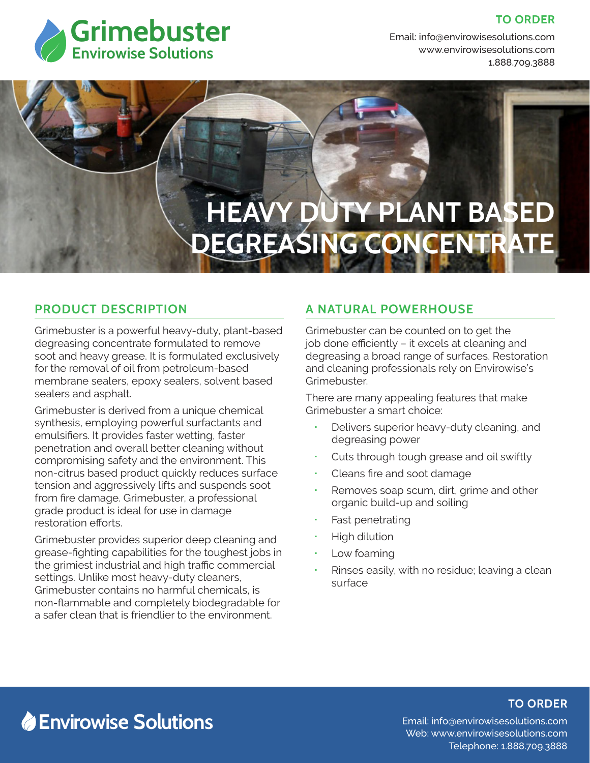

#### **TO ORDER**

Email: info@envirowisesolutions.com Web: www.envirowisesolutions.com 1.888.709.3888

# **HEAVY DUTY PLANT BASED DEGREASING CONCENTRATE**

#### **PRODUCT DESCRIPTION**

Grimebuster is a powerful heavy-duty, plant-based degreasing concentrate formulated to remove soot and heavy grease. It is formulated exclusively for the removal of oil from petroleum-based membrane sealers, epoxy sealers, solvent based sealers and asphalt.

Grimebuster is derived from a unique chemical synthesis, employing powerful surfactants and emulsifiers. It provides faster wetting, faster penetration and overall better cleaning without compromising safety and the environment. This non-citrus based product quickly reduces surface tension and aggressively lifts and suspends soot from fire damage. Grimebuster, a professional grade product is ideal for use in damage restoration efforts.

Grimebuster provides superior deep cleaning and grease-fighting capabilities for the toughest jobs in the grimiest industrial and high traffic commercial settings. Unlike most heavy-duty cleaners, Grimebuster contains no harmful chemicals, is non-flammable and completely biodegradable for a safer clean that is friendlier to the environment.

#### **A NATURAL POWERHOUSE**

Grimebuster can be counted on to get the job done efficiently – it excels at cleaning and degreasing a broad range of surfaces. Restoration and cleaning professionals rely on Envirowise's Grimebuster.

There are many appealing features that make Grimebuster a smart choice:

- Delivers superior heavy-duty cleaning, and degreasing power
- Cuts through tough grease and oil swiftly
- Cleans fire and soot damage
- Removes soap scum, dirt, grime and other organic build-up and soiling
- Fast penetrating
- High dilution
- Low foaming
- Rinses easily, with no residue; leaving a clean surface

## **Envirowise Solutions**

#### **TO ORDER**

Email: info@envirowisesolutions.com Web: www.envirowisesolutions.com Telephone: 1.888.709.3888